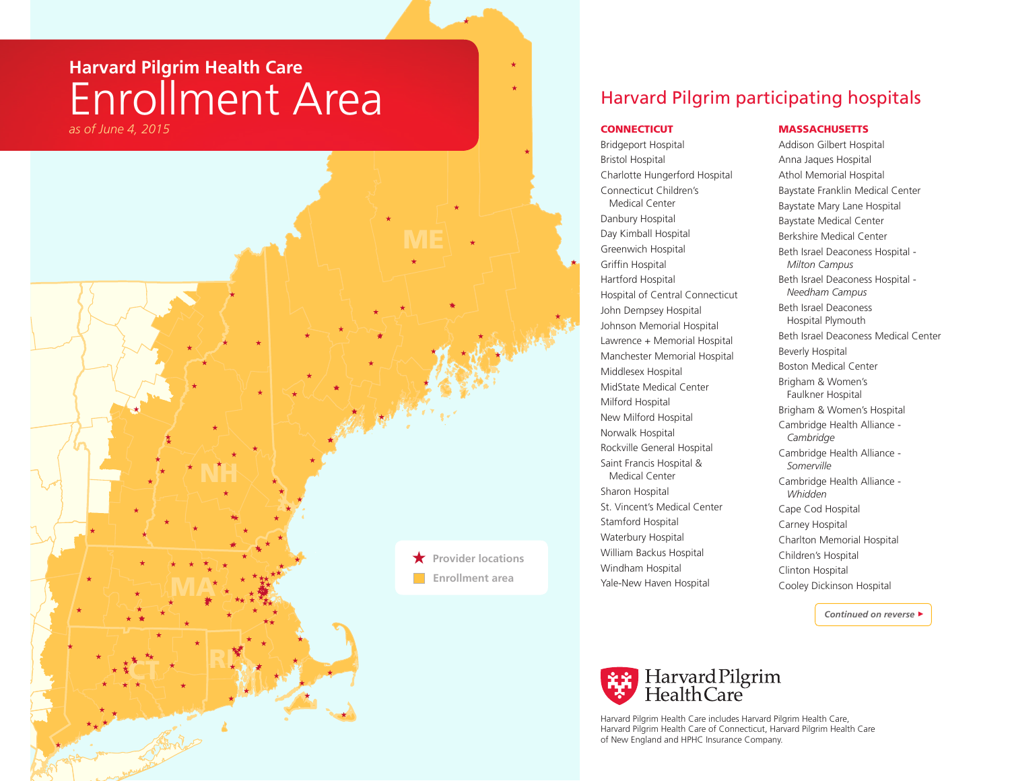# **Harvard Pilgrim Health Care** Enrollment Area *as of June 4, 2015* Connecticut Connecticut Connecticut Connecticut Connecticut Connecticut Connecticut Connecticut

**ÇT** 

MA

NH

RI

★ **Provider locations Enrollment area**

## Harvard Pilgrim participating hospitals

Bridgeport Hospital Bristol Hospital Charlotte Hungerford Hospital Connecticut Children's Medical Center Danbury Hospital Day Kimball Hospital Greenwich Hospital Griffin Hospital Hartford Hospital Hospital of Central Connecticut John Dempsey Hospital Johnson Memorial Hospital Lawrence + Memorial Hospital Manchester Memorial Hospital Middlesex Hospital MidState Medical Center Milford Hospital New Milford Hospital Norwalk Hospital Rockville General Hospital Saint Francis Hospital & Medical Center Sharon Hospital St. Vincent's Medical Center Stamford Hospital Waterbury Hospital William Backus Hospital Windham Hospital Yale-New Haven Hospital

### **MASSACHUSETTS**

Addison Gilbert Hospital Anna Jaques Hospital Athol Memorial Hospital Baystate Franklin Medical Center Baystate Mary Lane Hospital Baystate Medical Center Berkshire Medical Center Beth Israel Deaconess Hospital - *Milton Campus* Beth Israel Deaconess Hospital - *Needham Campus* Beth Israel Deaconess Hospital Plymouth Beth Israel Deaconess Medical Center Beverly Hospital Boston Medical Center Brigham & Women's Faulkner Hospital Brigham & Women's Hospital Cambridge Health Alliance - *Cambridge* Cambridge Health Alliance - *Somerville* Cambridge Health Alliance - *Whidden* Cape Cod Hospital Carney Hospital Charlton Memorial Hospital Children's Hospital Clinton Hospital Cooley Dickinson Hospital

 *Continued on reverse* >



Harvard Pilgrim Health Care includes Harvard Pilgrim Health Care, Harvard Pilgrim Health Care of Connecticut, Harvard Pilgrim Health Care of New England and HPHC Insurance Company.